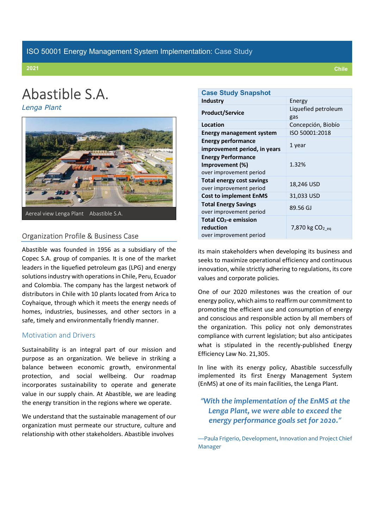# Abastible S.A.

Lenga Plant



# Organization Profile & Business Case

 Abastible was founded in 1956 as a subsidiary of the Copec S.A. group of companies. It is one of the market leaders in the liquefied petroleum gas (LPG) and energy solutions industry with operations in Chile, Peru, Ecuador and Colombia. The company has the largest network of distributors in Chile with 10 plants located from Arica to Coyhaique, through which it meets the energy needs of homes, industries, businesses, and other sectors in a safe, timely and environmentally friendly manner.

### Motivation and Drivers

 Sustainability is an integral part of our mission and purpose as an organization. We believe in striking a balance between economic growth, environmental protection, and social wellbeing. Our roadmap incorporates sustainability to operate and generate value in our supply chain. At Abastible, we are leading the energy transition in the regions where we operate.

 We understand that the sustainable management of our organization must permeate our structure, culture and relationship with other stakeholders. Abastible involves

| <b>Case Study Snapshot</b>        |                     |  |  |  |
|-----------------------------------|---------------------|--|--|--|
| <b>Industry</b>                   | Energy              |  |  |  |
| <b>Product/Service</b>            | Liquefied petroleum |  |  |  |
|                                   | gas                 |  |  |  |
| Location                          | Concepción, Biobío  |  |  |  |
| <b>Energy management system</b>   | ISO 50001:2018      |  |  |  |
| <b>Energy performance</b>         |                     |  |  |  |
| improvement period, in years      | 1 year              |  |  |  |
| <b>Energy Performance</b>         |                     |  |  |  |
| Improvement (%)                   | 1.32%               |  |  |  |
| over improvement period           |                     |  |  |  |
| <b>Total energy cost savings</b>  | 18,246 USD          |  |  |  |
| over improvement period           |                     |  |  |  |
| <b>Cost to implement EnMS</b>     | 31,033 USD          |  |  |  |
| <b>Total Energy Savings</b>       | 89.56 GJ            |  |  |  |
| over improvement period           |                     |  |  |  |
| Total CO <sub>2</sub> -e emission |                     |  |  |  |
| reduction                         | 7,870 kg $CO2$ eq   |  |  |  |
| over improvement period           |                     |  |  |  |

 its main stakeholders when developing its business and seeks to maximize operational efficiency and continuous innovation, while strictly adhering to regulations, its core values and corporate policies.

 One of our 2020 milestones was the creation of our energy policy, which aims to reaffirm our commitment to promoting the efficient use and consumption of energy and conscious and responsible action by all members of the organization. This policy not only demonstrates compliance with current legislation; but also anticipates what is stipulated in the recently-published Energy Efficiency Law No. 21,305.

 In line with its energy policy, Abastible successfully implemented its first Energy Management System (EnMS) at one of its main facilities, the Lenga Plant.

# "With the implementation of the EnMS at the Lenga Plant, we were able to exceed the energy performance goals set for 2020."

 —Paula Frigerio, Development, Innovation and Project Chief Manager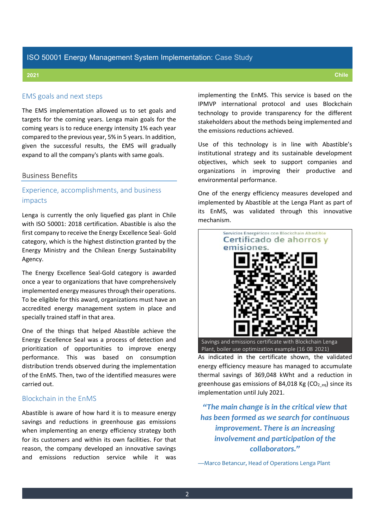### EMS goals and next steps

 The EMS implementation allowed us to set goals and targets for the coming years. Lenga main goals for the coming years is to reduce energy intensity 1% each year compared to the previous year, 5% in 5 years. In addition, given the successful results, the EMS will gradually expand to all the company's plants with same goals.

#### Business Benefits

# Experience, accomplishments, and business impacts

 Lenga is currently the only liquefied gas plant in Chile with ISO 50001: 2018 certification. Abastible is also the first company to receive the Energy Excellence Seal- Gold category, which is the highest distinction granted by the Energy Ministry and the Chilean Energy Sustainability Agency.

 The Energy Excellence Seal-Gold category is awarded once a year to organizations that have comprehensively implemented energy measures through their operations. To be eligible for this award, organizations must have an accredited energy management system in place and specially trained staff in that area.

 One of the things that helped Abastible achieve the Energy Excellence Seal was a process of detection and prioritization of opportunities to improve energy performance. This was based on consumption distribution trends observed during the implementation of the EnMS. Then, two of the identified measures were carried out.

#### Blockchain in the EnMS

 Abastible is aware of how hard it is to measure energy savings and reductions in greenhouse gas emissions when implementing an energy efficiency strategy both for its customers and within its own facilities. For that reason, the company developed an innovative savings and emissions reduction service while it was  implementing the EnMS. This service is based on the IPMVP international protocol and uses Blockchain technology to provide transparency for the different stakeholders about the methods being implemented and the emissions reductions achieved.

 Use of this technology is in line with Abastible's institutional strategy and its sustainable development objectives, which seek to support companies and organizations in improving their productive and environmental performance.

 One of the energy efficiency measures developed and implemented by Abastible at the Lenga Plant as part of its EnMS, was validated through this innovative mechanism.



 As indicated in the certificate shown, the validated energy efficiency measure has managed to accumulate thermal savings of 369,048 kWht and a reduction in greenhouse gas emissions of 84,018 Kg (CO<sub>2\_eq</sub>) since its implementation until July 2021.

 "The main change is in the critical view that has been formed as we search for continuous improvement. There is an increasing involvement and participation of the collaborators."

—Marco Betancur, Head of Operations Lenga Plant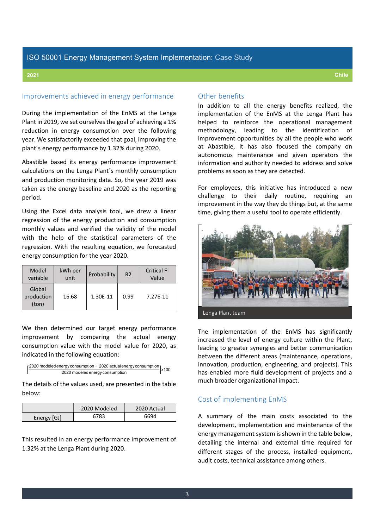### ISO 50001 Energy Management System Implementation: Case Study

### Improvements achieved in energy performance

 During the implementation of the EnMS at the Lenga Plant in 2019, we set ourselves the goal of achieving a 1% reduction in energy consumption over the following year. We satisfactorily exceeded that goal, improving the plant´s energy performance by 1.32% during 2020.

 Abastible based its energy performance improvement calculations on the Lenga Plant´s monthly consumption and production monitoring data. So, the year 2019 was taken as the energy baseline and 2020 as the reporting period.

 Using the Excel data analysis tool, we drew a linear regression of the energy production and consumption monthly values and verified the validity of the model with the help of the statistical parameters of the regression. With the resulting equation, we forecasted energy consumption for the year 2020.

| Model<br>variable             | kWh per<br>unit | Probability | R <sub>2</sub> | <b>Critical F-</b><br>Value |
|-------------------------------|-----------------|-------------|----------------|-----------------------------|
| Global<br>production<br>(ton) | 16.68           | 1.30E-11    | 0.99           | 7.27F-11                    |

 We then determined our target energy performance improvement by comparing the actual energy consumption value with the model value for 2020, as indicated in the following equation:



 The details of the values used, are presented in the table below:

|             | 2020 Modeled | 2020 Actual |
|-------------|--------------|-------------|
| Energy [GJ] | 6783         | 6694        |

 This resulted in an energy performance improvement of 1.32% at the Lenga Plant during 2020.

#### Other benefits

 In addition to all the energy benefits realized, the implementation of the EnMS at the Lenga Plant has helped to reinforce the operational management methodology, improvement opportunities by all the people who work at Abastible, It has also focused the company on autonomous maintenance and given operators the information and authority needed to address and solve problems as soon as they are detected. leading to the identification of

 For employees, this initiative has introduced a new challenge to their daily routine, requiring an improvement in the way they do things but, at the same time, giving them a useful tool to operate efficiently.



 The implementation of the EnMS has significantly increased the level of energy culture within the Plant, leading to greater synergies and better communication between the different areas (maintenance, operations, innovation, production, engineering, and projects). This has enabled more fluid development of projects and a much broader organizational impact.

### Cost of implementing EnMS

 A summary of the main costs associated to the development, implementation and maintenance of the energy management system is shown in the table below, detailing the internal and external time required for different stages of the process, installed equipment, audit costs, technical assistance among others.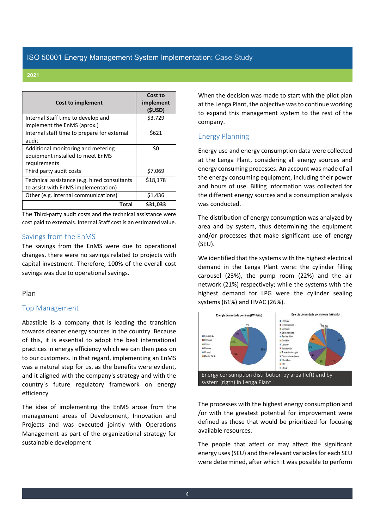## ISO 50001 Energy Management System Implementation: Case Study

#### 2021

| Cost to implement                            | Cost to<br>implement<br>(\$USD) |
|----------------------------------------------|---------------------------------|
| Internal Staff time to develop and           | \$3,729                         |
| implement the EnMS (aprox.)                  |                                 |
| Internal staff time to prepare for external  | \$621                           |
| audit                                        |                                 |
| Additional monitoring and metering           | \$0                             |
| equipment installed to meet EnMS             |                                 |
| requirements                                 |                                 |
| Third party audit costs                      | \$7,069                         |
| Technical assistance (e.g. hired consultants | \$18,178                        |
| to assist with EnMS implementation)          |                                 |
| Other (e.g. internal communications)         | \$1,436                         |
| Total                                        | \$31,033                        |

The Third-party audit costs and the technical assistance were cost paid to externals. Internal Staff cost is an estimated value.

#### Savings from the EnMS

The savings from the EnMS were due to operational changes, there were no savings related to projects with capital investment. Therefore, 100% of the overall cost savings was due to operational savings.

#### Plan

#### Top Management

Abastible is a company that is leading the transition towards cleaner energy sources in the country. Because of this, it is essential to adopt the best international practices in energy efficiency which we can then pass on to our customers. In that regard, implementing an EnMS was a natural step for us, as the benefits were evident, and it aligned with the company's strategy and with the country´s future regulatory framework on energy efficiency.

The idea of implementing the EnMS arose from the management areas of Development, Innovation and Projects and was executed jointly with Operations Management as part of the organizational strategy for sustainable development

When the decision was made to start with the pilot plan at the Lenga Plant, the objective was to continue working to expand this management system to the rest of the company.

### Energy Planning

Energy use and energy consumption data were collected at the Lenga Plant, considering all energy sources and energy consuming processes. An account was made of all the energy consuming equipment, including their power and hours of use. Billing information was collected for the different energy sources and a consumption analysis was conducted.

The distribution of energy consumption was analyzed by area and by system, thus determining the equipment and/or processes that make significant use of energy (SEU).

We identified that the systems with the highest electrical demand in the Lenga Plant were: the cylinder filling carousel (23%), the pump room (22%) and the air network (21%) respectively; while the systems with the highest demand for LPG were the cylinder sealing systems (61%) and HVAC (26%).



 The processes with the highest energy consumption and /or with the greatest potential for improvement were defined as those that would be prioritized for focusing available resources.

 The people that affect or may affect the significant energy uses (SEU) and the relevant variables for each SEU were determined, after which it was possible to perform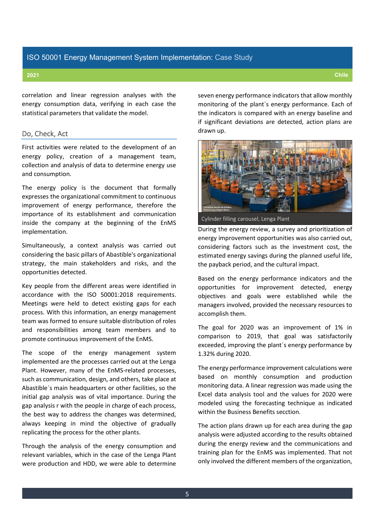correlation and linear regression analyses with the energy consumption data, verifying in each case the statistical parameters that validate the model.

#### Do, Check, Act

 First activities were related to the development of an energy policy, creation of a management team, collection and analysis of data to determine energy use and consumption.

 The energy policy is the document that formally expresses the organizational commitment to continuous improvement of energy performance, therefore the importance of its establishment and communication inside the company at the beginning of the EnMS implementation.

 Simultaneously, a context analysis was carried out considering the basic pillars of Abastible's organizational strategy, the main stakeholders and risks, and the opportunities detected.

 Key people from the different areas were identified in accordance with the ISO 50001:2018 requirements. Meetings were held to detect existing gaps for each process. With this information, an energy management team was formed to ensure suitable distribution of roles and responsibilities among team members and to promote continuous improvement of the EnMS.

 The scope of the energy management system implemented are the processes carried out at the Lenga Plant. However, many of the EnMS-related processes, such as communication, design, and others, take place at Abastible´s main headquarters or other facilities, so the initial gap analysis was of vital importance. During the gap analysis r with the people in charge of each process, the best way to address the changes was determined, always keeping in mind the objective of gradually replicating the process for the other plants.

 Through the analysis of the energy consumption and relevant variables, which in the case of the Lenga Plant were production and HDD, we were able to determine  seven energy performance indicators that allow monthly monitoring of the plant´s energy performance. Each of the indicators is compared with an energy baseline and if significant deviations are detected, action plans are drawn up.

Cylinder filling carousel, Lenga Plant

 During the energy review, a survey and prioritization of energy improvement opportunities was also carried out, considering factors such as the investment cost, the estimated energy savings during the planned useful life, the payback period, and the cultural impact.

 Based on the energy performance indicators and the opportunities for improvement detected, energy objectives and goals were established while the managers involved, provided the necessary resources to accomplish them.

 The goal for 2020 was an improvement of 1% in comparison to 2019, that goal was satisfactorily exceeded, improving the plant´s energy performance by 1.32% during 2020.

 The energy performance improvement calculations were based on monthly consumption and production monitoring data. A linear regression was made using the Excel data analysis tool and the values for 2020 were modeled using the forecasting technique as indicated within the Business Benefits secction.

 The action plans drawn up for each area during the gap analysis were adjusted according to the results obtained during the energy review and the communications and training plan for the EnMS was implemented. That not only involved the different members of the organization,